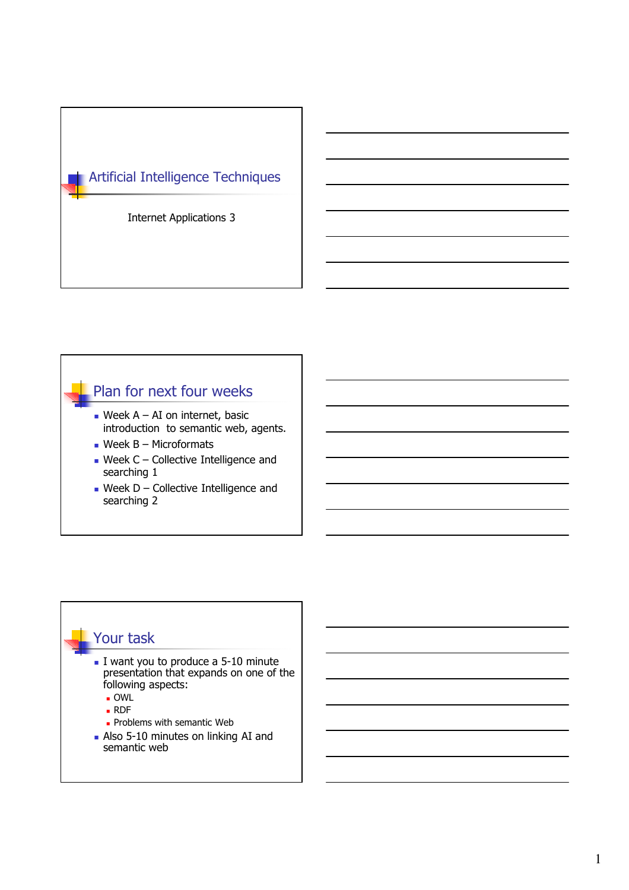

#### Plan for next four weeks

- Week  $A AI$  on internet, basic introduction to semantic web, agents.
- $\blacksquare$  Week B Microformats
- Week  $C$  Collective Intelligence and searching 1
- Week D Collective Intelligence and searching 2

#### Your task

- I want you to produce a 5-10 minute presentation that expands on one of the following aspects:
	- OWL
	- RDF
	- **Problems with semantic Web**
- Also 5-10 minutes on linking AI and semantic web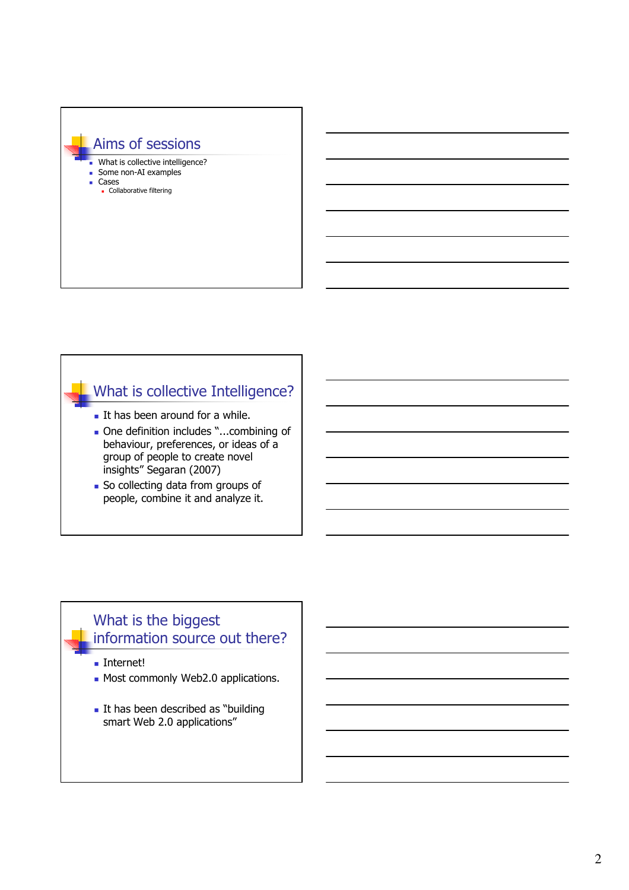# Aims of sessions What is collective intelligence? Some non-AI examples Cases Collaborative filtering

# What is collective Intelligence?

- It has been around for a while.
- One definition includes "...combining of behaviour, preferences, or ideas of a group of people to create novel insights" Segaran (2007)
- **So collecting data from groups of** people, combine it and analyze it.

#### What is the biggest information source out there?

■ Internet!

- Most commonly Web2.0 applications.
- It has been described as "building smart Web 2.0 applications"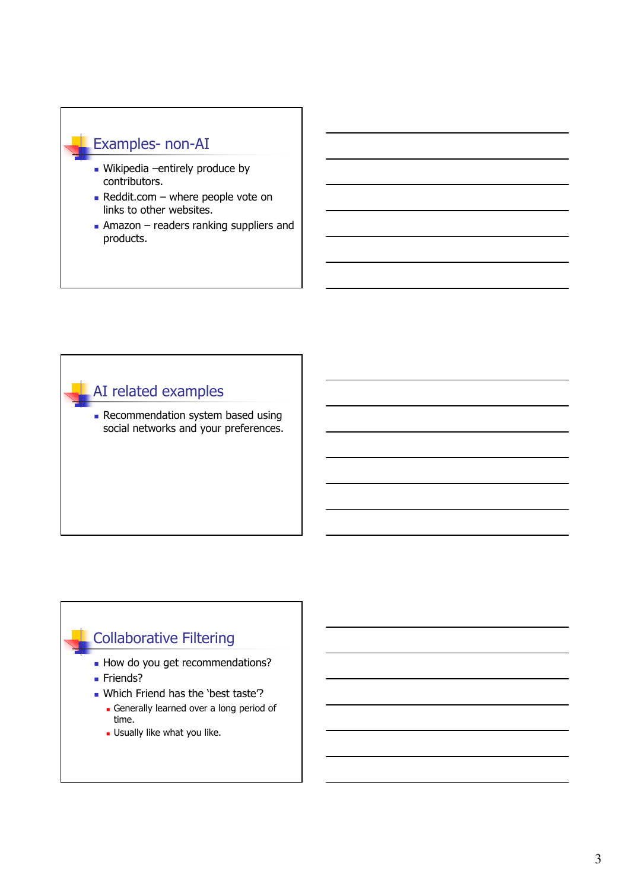#### Examples- non-AI

- Wikipedia –entirely produce by contributors.
- Reddit.com where people vote on links to other websites.
- $\blacksquare$  Amazon readers ranking suppliers and products.

# AI related examples

**Recommendation system based using** social networks and your preferences.

## Collaborative Filtering

- How do you get recommendations?
- **Friends?**
- . Which Friend has the 'best taste'?
	- Generally learned over a long period of time.
	- Usually like what you like.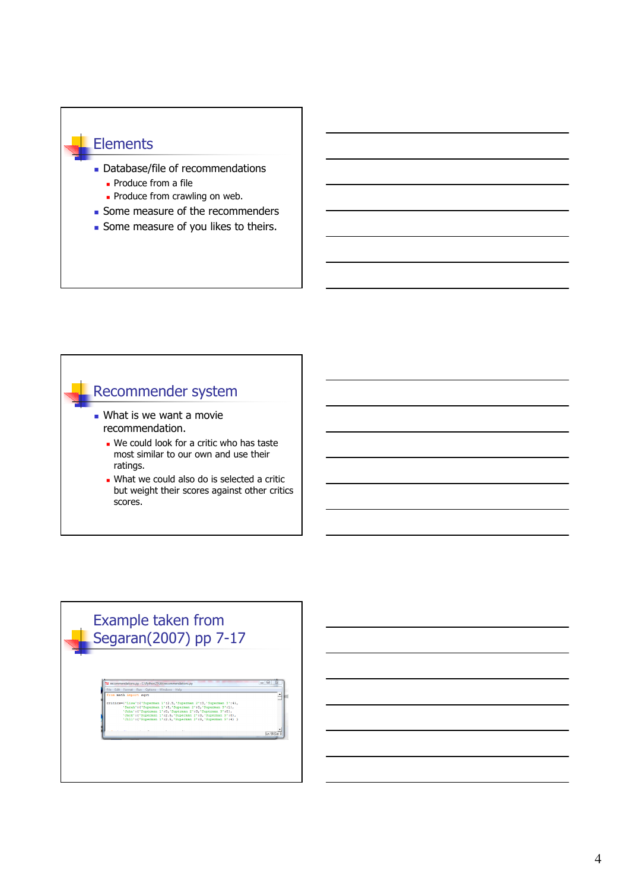#### Elements

- Database/file of recommendations Produce from a file
	- **Produce from crawling on web.**
- Some measure of the recommenders
- Some measure of you likes to theirs.

#### Recommender system

- **.** What is we want a movie recommendation.
	- We could look for a critic who has taste most similar to our own and use their ratings.
	- What we could also do is selected a critic but weight their scores against other critics scores.

# Example taken from Segaran(2007) pp 7-17

: 10, 'Supe<br>' 12.5, 'St<br>' 12.5, 'St  $\frac{1}{13}$ , 131  $\frac{1}{\ln 56 \text{Cot}}$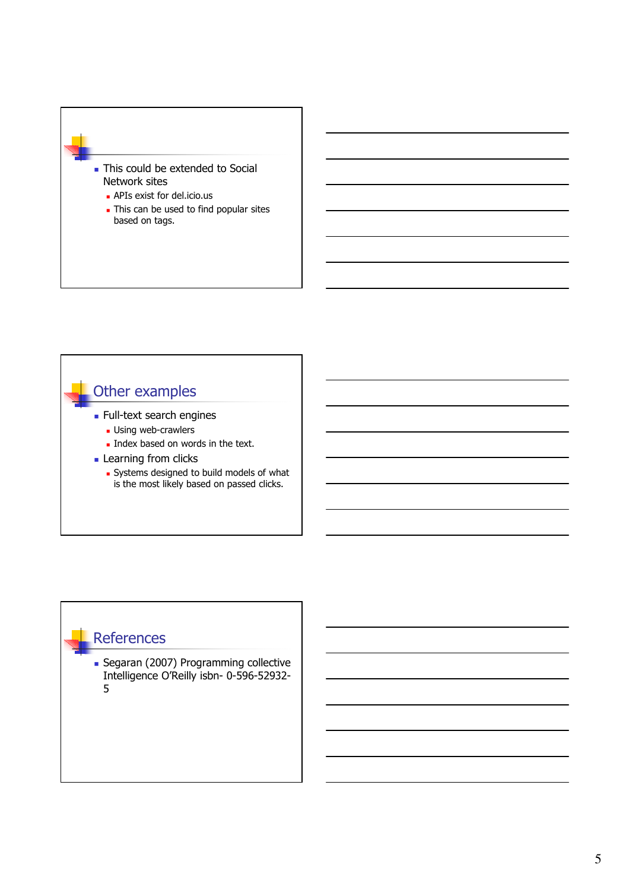

# Other examples

- **Full-text search engines** 
	- **Using web-crawlers**
	- Index based on words in the text.
- **Learning from clicks** 
	- Systems designed to build models of what is the most likely based on passed clicks.

#### **References**

**Segaran (2007) Programming collective** Intelligence O'Reilly isbn- 0-596-52932- 5